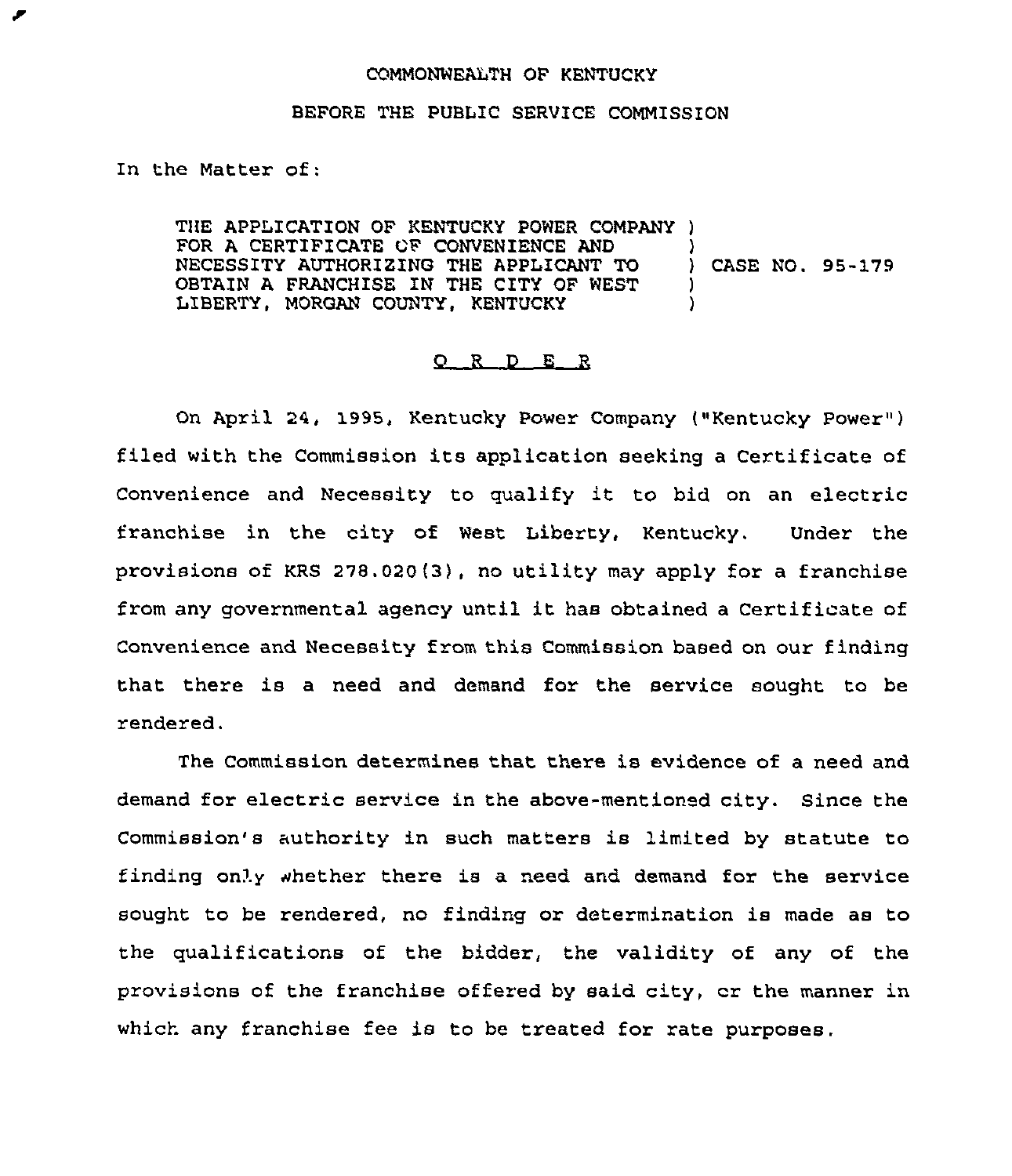## COMMONWEALTH OF KENTUCKY

## BEFORE THE PUBLIC SERVICE COMMISSION

In the Matter of:

THE APPLICATION OF KENTUCKY POWER COMPANY ) FOR A CERTIFICATE OF CONVENIENCE AND  $\left\{\begin{array}{ccc} \end{array}\right\}$ <br>NECESSITY AUTHORIZING THE APPLICANT TO NECESSITY AUTHORIZING THE APPLICANT TO ) CASE NO. 95-179 OBTAIN A FRANCHISE IN THE CITY OF WEST LIBERTY, MORGAN COUNTY, KENTUCKY )

## Q R D E R

On April 24, 1995, Kentucky Power Company ("Kentucky Power" ) filed with the Commission its application seeking <sup>a</sup> Certificate of Convenience and Necessity to qualify it to bid on an electric franchise in the city of West Liberty, Kentucky. Under the provisions of KRS 278.020(3), no utility may apply for a franchise from any governmental agency until it has obtained <sup>a</sup> Certificate of Convenience and Necessity from this Commission based on our finding that there is a need and demand for the service sought to be rendered.

The Commission determines that there is evidence of a need and demand for electric service in the above-mentioned city. Since the Commission's authority in such matters is limited by statute to finding only whether there is a need and demand for the service sought to be rendered, no finding or determination is made as to the qualifications of the bidder, the validity of any of the provisions of the franchise offered by said city, cr the manner in which any franchise fee is to be treated for rate purposes.